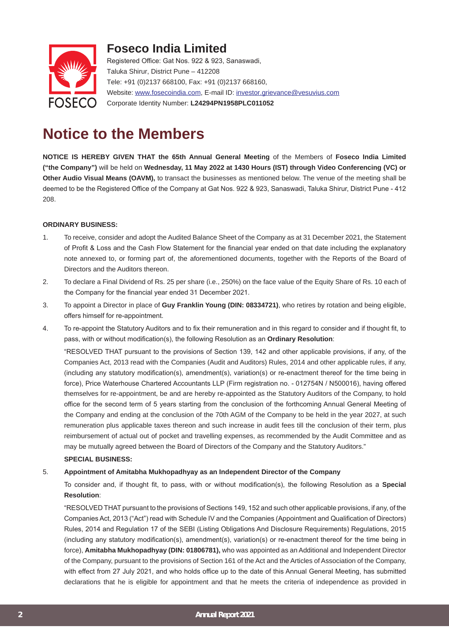

# **Foseco India Limited**

Registered Office: Gat Nos. 922 & 923, Sanaswadi, Taluka Shirur, District Pune – 412208 Tele: +91 (0)2137 668100, Fax: +91 (0)2137 668160, Website: www.fosecoindia.com, E-mail ID: investor.grievance@vesuvius.com Corporate Identity Number: **L24294PN1958PLC011052**

# **Notice to the Members**

**NOTICE IS HEREBY GIVEN THAT the 65th Annual General Meeting** of the Members of **Foseco India Limited ("the Company")** will be held on **Wednesday, 11 May 2022 at 1430 Hours (IST) through Video Conferencing (VC) or Other Audio Visual Means (OAVM),** to transact the businesses as mentioned below. The venue of the meeting shall be deemed to be the Registered Office of the Company at Gat Nos. 922 & 923, Sanaswadi, Taluka Shirur, District Pune - 412 208.

#### **ORDINARY BUSINESS:**

- 1. To receive, consider and adopt the Audited Balance Sheet of the Company as at 31 December 2021, the Statement of Profit & Loss and the Cash Flow Statement for the financial year ended on that date including the explanatory note annexed to, or forming part of, the aforementioned documents, together with the Reports of the Board of Directors and the Auditors thereon.
- 2. To declare a Final Dividend of Rs. 25 per share (i.e., 250%) on the face value of the Equity Share of Rs. 10 each of the Company for the financial year ended 31 December 2021.
- 3. To appoint a Director in place of **Guy Franklin Young (DIN: 08334721)**, who retires by rotation and being eligible, offers himself for re-appointment.
- 4. To re-appoint the Statutory Auditors and to fix their remuneration and in this regard to consider and if thought fit, to pass, with or without modification(s), the following Resolution as an **Ordinary Resolution**:

"RESOLVED THAT pursuant to the provisions of Section 139, 142 and other applicable provisions, if any, of the Companies Act, 2013 read with the Companies (Audit and Auditors) Rules, 2014 and other applicable rules, if any, (including any statutory modification(s), amendment(s), variation(s) or re-enactment thereof for the time being in force), Price Waterhouse Chartered Accountants LLP (Firm registration no. - 012754N / N500016), having offered themselves for re-appointment, be and are hereby re-appointed as the Statutory Auditors of the Company, to hold office for the second term of 5 years starting from the conclusion of the forthcoming Annual General Meeting of the Company and ending at the conclusion of the 70th AGM of the Company to be held in the year 2027, at such remuneration plus applicable taxes thereon and such increase in audit fees till the conclusion of their term, plus reimbursement of actual out of pocket and travelling expenses, as recommended by the Audit Committee and as may be mutually agreed between the Board of Directors of the Company and the Statutory Auditors."

#### **SPECIAL BUSINESS:**

#### 5. **Appointment of Amitabha Mukhopadhyay as an Independent Director of the Company**

To consider and, if thought fit, to pass, with or without modification(s), the following Resolution as a **Special Resolution**:

"RESOLVED THAT pursuant to the provisions of Sections 149, 152 and such other applicable provisions, if any, of the Companies Act, 2013 ("Act") read with Schedule IV and the Companies (Appointment and Qualification of Directors) Rules, 2014 and Regulation 17 of the SEBI (Listing Obligations And Disclosure Requirements) Regulations, 2015 (including any statutory modification(s), amendment(s), variation(s) or re-enactment thereof for the time being in force), **Amitabha Mukhopadhyay (DIN: 01806781),** who was appointed as an Additional and Independent Director of the Company, pursuant to the provisions of Section 161 of the Act and the Articles of Association of the Company, with effect from 27 July 2021, and who holds office up to the date of this Annual General Meeting, has submitted declarations that he is eligible for appointment and that he meets the criteria of independence as provided in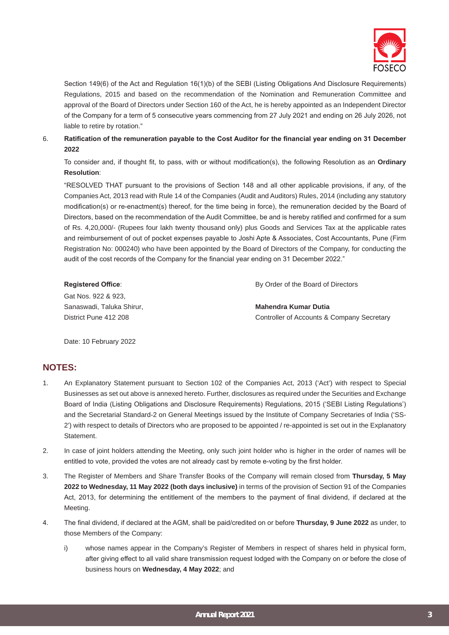

Section 149(6) of the Act and Regulation 16(1)(b) of the SEBI (Listing Obligations And Disclosure Requirements) Regulations, 2015 and based on the recommendation of the Nomination and Remuneration Committee and approval of the Board of Directors under Section 160 of the Act, he is hereby appointed as an Independent Director of the Company for a term of 5 consecutive years commencing from 27 July 2021 and ending on 26 July 2026, not liable to retire by rotation."

#### 6. **Ratification of the remuneration payable to the Cost Auditor for the financial year ending on 31 December 2022**

To consider and, if thought fit, to pass, with or without modification(s), the following Resolution as an **Ordinary Resolution**:

"RESOLVED THAT pursuant to the provisions of Section 148 and all other applicable provisions, if any, of the Companies Act, 2013 read with Rule 14 of the Companies (Audit and Auditors) Rules, 2014 (including any statutory modification(s) or re-enactment(s) thereof, for the time being in force), the remuneration decided by the Board of Directors, based on the recommendation of the Audit Committee, be and is hereby ratified and confirmed for a sum of Rs. 4,20,000/- (Rupees four lakh twenty thousand only) plus Goods and Services Tax at the applicable rates and reimbursement of out of pocket expenses payable to Joshi Apte & Associates, Cost Accountants, Pune (Firm Registration No: 000240) who have been appointed by the Board of Directors of the Company, for conducting the audit of the cost records of the Company for the financial year ending on 31 December 2022."

| By Order of the Board of Directors         |
|--------------------------------------------|
|                                            |
| Mahendra Kumar Dutia                       |
| Controller of Accounts & Company Secretary |
|                                            |

Date: 10 February 2022

## **NOTES:**

- 1. An Explanatory Statement pursuant to Section 102 of the Companies Act, 2013 ('Act') with respect to Special Businesses as set out above is annexed hereto. Further, disclosures as required under the Securities and Exchange Board of India (Listing Obligations and Disclosure Requirements) Regulations, 2015 ('SEBI Listing Regulations') and the Secretarial Standard-2 on General Meetings issued by the Institute of Company Secretaries of India ('SS-2') with respect to details of Directors who are proposed to be appointed / re-appointed is set out in the Explanatory Statement.
- 2. In case of joint holders attending the Meeting, only such joint holder who is higher in the order of names will be entitled to vote, provided the votes are not already cast by remote e-voting by the first holder.
- 3. The Register of Members and Share Transfer Books of the Company will remain closed from **Thursday, 5 May 2022 to Wednesday, 11 May 2022 (both days inclusive)** in terms of the provision of Section 91 of the Companies Act, 2013, for determining the entitlement of the members to the payment of final dividend, if declared at the Meeting.
- 4. The final dividend, if declared at the AGM, shall be paid/credited on or before **Thursday, 9 June 2022** as under, to those Members of the Company:
	- i) whose names appear in the Company's Register of Members in respect of shares held in physical form, after giving effect to all valid share transmission request lodged with the Company on or before the close of business hours on **Wednesday, 4 May 2022**; and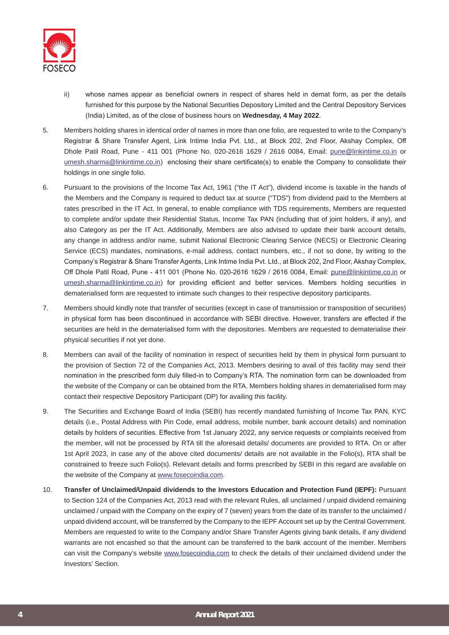

- ii) whose names appear as beneficial owners in respect of shares held in demat form, as per the details furnished for this purpose by the National Securities Depository Limited and the Central Depository Services (India) Limited, as of the close of business hours on **Wednesday, 4 May 2022**.
- 5. Members holding shares in identical order of names in more than one folio, are requested to write to the Company's Registrar & Share Transfer Agent, Link Intime India Pvt. Ltd., at Block 202, 2nd Floor, Akshay Complex, Off Dhole Patil Road, Pune - 411 001 (Phone No. 020-2616 1629 / 2616 0084, Email: pune@linkintime.co.in or umesh.sharma@linkintime.co.in) enclosing their share certificate(s) to enable the Company to consolidate their holdings in one single folio.
- 6. Pursuant to the provisions of the Income Tax Act, 1961 ("the IT Act"), dividend income is taxable in the hands of the Members and the Company is required to deduct tax at source ("TDS") from dividend paid to the Members at rates prescribed in the IT Act. In general, to enable compliance with TDS requirements, Members are requested to complete and/or update their Residential Status, Income Tax PAN (including that of joint holders, if any), and also Category as per the IT Act. Additionally, Members are also advised to update their bank account details, any change in address and/or name, submit National Electronic Clearing Service (NECS) or Electronic Clearing Service (ECS) mandates, nominations, e-mail address, contact numbers, etc., if not so done, by writing to the Company's Registrar & Share Transfer Agents, Link Intime India Pvt. Ltd., at Block 202, 2nd Floor, Akshay Complex, Off Dhole Patil Road, Pune - 411 001 (Phone No. 020-2616 1629 / 2616 0084, Email: pune@linkintime.co.in or umesh.sharma@linkintime.co.in) for providing efficient and better services. Members holding securities in dematerialised form are requested to intimate such changes to their respective depository participants.
- 7. Members should kindly note that transfer of securities (except in case of transmission or transposition of securities) in physical form has been discontinued in accordance with SEBI directive. However, transfers are effected if the securities are held in the dematerialised form with the depositories. Members are requested to dematerialise their physical securities if not yet done.
- 8. Members can avail of the facility of nomination in respect of securities held by them in physical form pursuant to the provision of Section 72 of the Companies Act, 2013. Members desiring to avail of this facility may send their nomination in the prescribed form duly filled-in to Company's RTA. The nomination form can be downloaded from the website of the Company or can be obtained from the RTA. Members holding shares in dematerialised form may contact their respective Depository Participant (DP) for availing this facility.
- 9. The Securities and Exchange Board of India (SEBI) has recently mandated furnishing of Income Tax PAN, KYC details (i.e., Postal Address with Pin Code, email address, mobile number, bank account details) and nomination details by holders of securities. Effective from 1st January 2022, any service requests or complaints received from the member, will not be processed by RTA till the aforesaid details/ documents are provided to RTA. On or after 1st April 2023, in case any of the above cited documents/ details are not available in the Folio(s), RTA shall be constrained to freeze such Folio(s). Relevant details and forms prescribed by SEBI in this regard are available on the website of the Company at www.fosecoindia.com.
- 10. **Transfer of Unclaimed/Unpaid dividends to the Investors Education and Protection Fund (IEPF):** Pursuant to Section 124 of the Companies Act, 2013 read with the relevant Rules, all unclaimed / unpaid dividend remaining unclaimed / unpaid with the Company on the expiry of 7 (seven) years from the date of its transfer to the unclaimed / unpaid dividend account, will be transferred by the Company to the IEPF Account set up by the Central Government. Members are requested to write to the Company and/or Share Transfer Agents giving bank details, if any dividend warrants are not encashed so that the amount can be transferred to the bank account of the member. Members can visit the Company's website www.fosecoindia.com to check the details of their unclaimed dividend under the Investors' Section.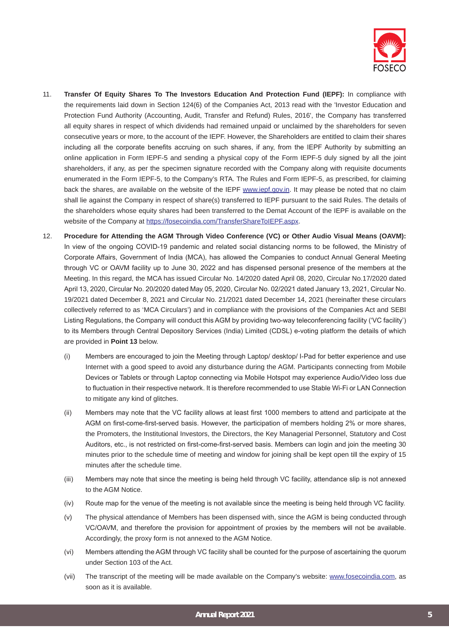

- 11. **Transfer Of Equity Shares To The Investors Education And Protection Fund (IEPF):** In compliance with the requirements laid down in Section 124(6) of the Companies Act, 2013 read with the 'Investor Education and Protection Fund Authority (Accounting, Audit, Transfer and Refund) Rules, 2016', the Company has transferred all equity shares in respect of which dividends had remained unpaid or unclaimed by the shareholders for seven consecutive years or more, to the account of the IEPF. However, the Shareholders are entitled to claim their shares including all the corporate benefits accruing on such shares, if any, from the IEPF Authority by submitting an online application in Form IEPF-5 and sending a physical copy of the Form IEPF-5 duly signed by all the joint shareholders, if any, as per the specimen signature recorded with the Company along with requisite documents enumerated in the Form IEPF-5, to the Company's RTA. The Rules and Form IEPF-5, as prescribed, for claiming back the shares, are available on the website of the IEPF www.iepf.gov.in. It may please be noted that no claim shall lie against the Company in respect of share(s) transferred to IEPF pursuant to the said Rules. The details of the shareholders whose equity shares had been transferred to the Demat Account of the IEPF is available on the website of the Company at https://fosecoindia.com/TransferShareToIEPF.aspx.
- 12. **Procedure for Attending the AGM Through Video Conference (VC) or Other Audio Visual Means (OAVM):** In view of the ongoing COVID-19 pandemic and related social distancing norms to be followed, the Ministry of Corporate Affairs, Government of India (MCA), has allowed the Companies to conduct Annual General Meeting through VC or OAVM facility up to June 30, 2022 and has dispensed personal presence of the members at the Meeting. In this regard, the MCA has issued Circular No. 14/2020 dated April 08, 2020, Circular No.17/2020 dated April 13, 2020, Circular No. 20/2020 dated May 05, 2020, Circular No. 02/2021 dated January 13, 2021, Circular No. 19/2021 dated December 8, 2021 and Circular No. 21/2021 dated December 14, 2021 (hereinafter these circulars collectively referred to as 'MCA Circulars') and in compliance with the provisions of the Companies Act and SEBI Listing Regulations, the Company will conduct this AGM by providing two-way teleconferencing facility ('VC facility') to its Members through Central Depository Services (India) Limited (CDSL) e-voting platform the details of which are provided in **Point 13** below.
	- (i) Members are encouraged to join the Meeting through Laptop/ desktop/ I-Pad for better experience and use Internet with a good speed to avoid any disturbance during the AGM. Participants connecting from Mobile Devices or Tablets or through Laptop connecting via Mobile Hotspot may experience Audio/Video loss due to fluctuation in their respective network. It is therefore recommended to use Stable Wi-Fi or LAN Connection to mitigate any kind of glitches.
	- (ii) Members may note that the VC facility allows at least first 1000 members to attend and participate at the AGM on first-come-first-served basis. However, the participation of members holding 2% or more shares, the Promoters, the Institutional Investors, the Directors, the Key Managerial Personnel, Statutory and Cost Auditors, etc., is not restricted on first-come-first-served basis. Members can login and join the meeting 30 minutes prior to the schedule time of meeting and window for joining shall be kept open till the expiry of 15 minutes after the schedule time.
	- (iii) Members may note that since the meeting is being held through VC facility, attendance slip is not annexed to the AGM Notice.
	- (iv) Route map for the venue of the meeting is not available since the meeting is being held through VC facility.
	- (v) The physical attendance of Members has been dispensed with, since the AGM is being conducted through VC/OAVM, and therefore the provision for appointment of proxies by the members will not be available. Accordingly, the proxy form is not annexed to the AGM Notice.
	- (vi) Members attending the AGM through VC facility shall be counted for the purpose of ascertaining the quorum under Section 103 of the Act.
	- (vii) The transcript of the meeting will be made available on the Company's website: www.fosecoindia.com, as soon as it is available.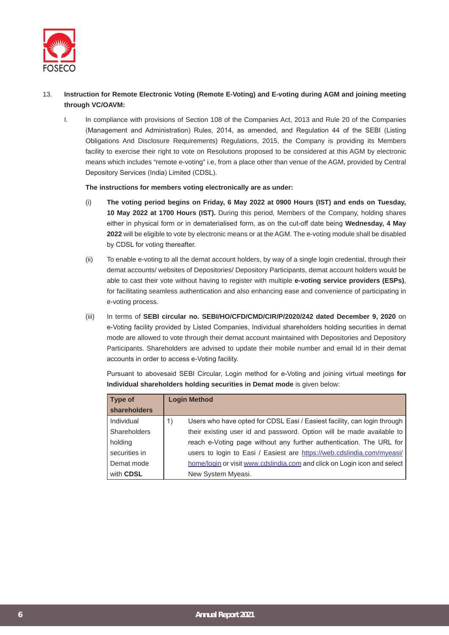

### 13. **Instruction for Remote Electronic Voting (Remote E-Voting) and E-voting during AGM and joining meeting through VC/OAVM:**

I. In compliance with provisions of Section 108 of the Companies Act, 2013 and Rule 20 of the Companies (Management and Administration) Rules, 2014, as amended, and Regulation 44 of the SEBI (Listing Obligations And Disclosure Requirements) Regulations, 2015, the Company is providing its Members facility to exercise their right to vote on Resolutions proposed to be considered at this AGM by electronic means which includes "remote e-voting" i.e, from a place other than venue of the AGM, provided by Central Depository Services (India) Limited (CDSL).

#### **The instructions for members voting electronically are as under:**

- (i) **The voting period begins on Friday, 6 May 2022 at 0900 Hours (IST) and ends on Tuesday, 10 May 2022 at 1700 Hours (IST).** During this period, Members of the Company, holding shares either in physical form or in dematerialised form, as on the cut-off date being **Wednesday, 4 May 2022** will be eligible to vote by electronic means or at the AGM. The e-voting module shall be disabled by CDSL for voting thereafter.
- (ii) To enable e-voting to all the demat account holders, by way of a single login credential, through their demat accounts/ websites of Depositories/ Depository Participants, demat account holders would be able to cast their vote without having to register with multiple **e-voting service providers (ESPs)**, for facilitating seamless authentication and also enhancing ease and convenience of participating in e-voting process.
- (iii) In terms of **SEBI circular no. SEBI/HO/CFD/CMD/CIR/P/2020/242 dated December 9, 2020** on e-Voting facility provided by Listed Companies, Individual shareholders holding securities in demat mode are allowed to vote through their demat account maintained with Depositories and Depository Participants. Shareholders are advised to update their mobile number and email Id in their demat accounts in order to access e-Voting facility.

| <b>Type of</b>      | <b>Login Method</b>                                                            |
|---------------------|--------------------------------------------------------------------------------|
| shareholders        |                                                                                |
| Individual          | Users who have opted for CDSL Easi / Easiest facility, can login through<br>1) |
| <b>Shareholders</b> | their existing user id and password. Option will be made available to          |
| holding             | reach e-Voting page without any further authentication. The URL for            |
| securities in       | users to login to Easi / Easiest are https://web.cdslindia.com/myeasi/         |
| Demat mode          | home/login or visit www.cdslindia.com and click on Login icon and select       |
| with CDSL           | New System Myeasi.                                                             |

Pursuant to abovesaid SEBI Circular, Login method for e-Voting and joining virtual meetings **for Individual shareholders holding securities in Demat mode** is given below: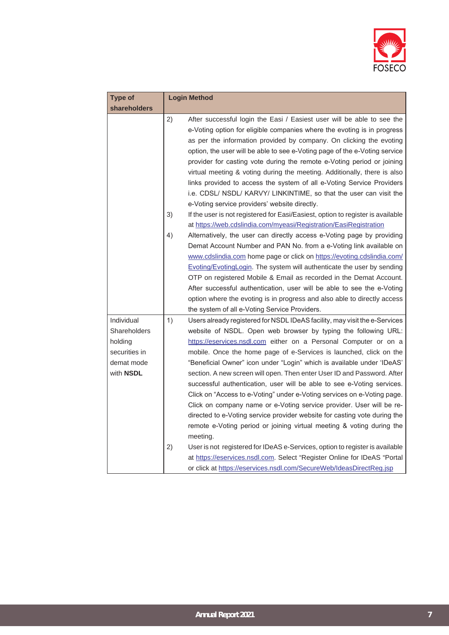

| <b>Type of</b>                                                                    | <b>Login Method</b>                                                                                                                                                                                                                                                                                                                                                                                                                                                                                                                                                                                                                                                                                                                                                                                                                                                                                                                                                                                                                                                                       |
|-----------------------------------------------------------------------------------|-------------------------------------------------------------------------------------------------------------------------------------------------------------------------------------------------------------------------------------------------------------------------------------------------------------------------------------------------------------------------------------------------------------------------------------------------------------------------------------------------------------------------------------------------------------------------------------------------------------------------------------------------------------------------------------------------------------------------------------------------------------------------------------------------------------------------------------------------------------------------------------------------------------------------------------------------------------------------------------------------------------------------------------------------------------------------------------------|
| <b>shareholders</b>                                                               |                                                                                                                                                                                                                                                                                                                                                                                                                                                                                                                                                                                                                                                                                                                                                                                                                                                                                                                                                                                                                                                                                           |
|                                                                                   | 2)<br>After successful login the Easi / Easiest user will be able to see the<br>e-Voting option for eligible companies where the evoting is in progress<br>as per the information provided by company. On clicking the evoting<br>option, the user will be able to see e-Voting page of the e-Voting service<br>provider for casting vote during the remote e-Voting period or joining<br>virtual meeting & voting during the meeting. Additionally, there is also<br>links provided to access the system of all e-Voting Service Providers<br>i.e. CDSL/ NSDL/ KARVY/ LINKINTIME, so that the user can visit the<br>e-Voting service providers' website directly.                                                                                                                                                                                                                                                                                                                                                                                                                        |
|                                                                                   | 3)<br>If the user is not registered for Easi/Easiest, option to register is available<br>at https://web.cdslindia.com/myeasi/Registration/EasiRegistration                                                                                                                                                                                                                                                                                                                                                                                                                                                                                                                                                                                                                                                                                                                                                                                                                                                                                                                                |
|                                                                                   | 4)<br>Alternatively, the user can directly access e-Voting page by providing<br>Demat Account Number and PAN No. from a e-Voting link available on<br>www.cdslindia.com home page or click on https://evoting.cdslindia.com/<br>Evoting/EvotingLogin. The system will authenticate the user by sending<br>OTP on registered Mobile & Email as recorded in the Demat Account.<br>After successful authentication, user will be able to see the e-Voting<br>option where the evoting is in progress and also able to directly access<br>the system of all e-Voting Service Providers.                                                                                                                                                                                                                                                                                                                                                                                                                                                                                                       |
| Individual<br>Shareholders<br>holding<br>securities in<br>demat mode<br>with NSDL | 1)<br>Users already registered for NSDL IDeAS facility, may visit the e-Services<br>website of NSDL. Open web browser by typing the following URL:<br>https://eservices.nsdl.com either on a Personal Computer or on a<br>mobile. Once the home page of e-Services is launched, click on the<br>"Beneficial Owner" icon under "Login" which is available under 'IDeAS'<br>section. A new screen will open. Then enter User ID and Password. After<br>successful authentication, user will be able to see e-Voting services.<br>Click on "Access to e-Voting" under e-Voting services on e-Voting page.<br>Click on company name or e-Voting service provider. User will be re-<br>directed to e-Voting service provider website for casting vote during the<br>remote e-Voting period or joining virtual meeting & voting during the<br>meeting.<br>2)<br>User is not registered for IDeAS e-Services, option to register is available<br>at https://eservices.nsdl.com. Select "Register Online for IDeAS "Portal<br>or click at https://eservices.nsdl.com/SecureWeb/IdeasDirectReg.jsp |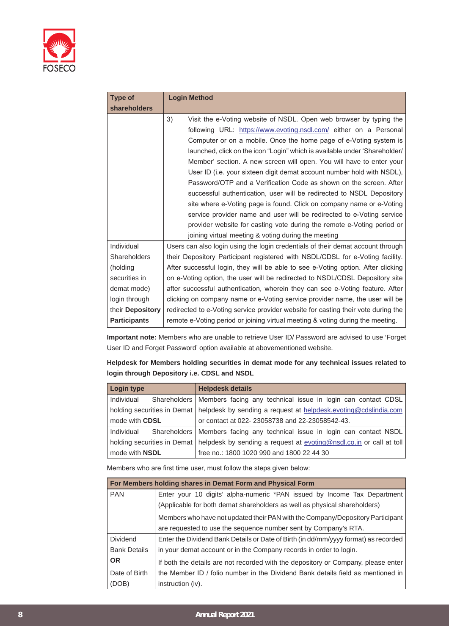

| <b>Type of</b>          | <b>Login Method</b>                                                               |
|-------------------------|-----------------------------------------------------------------------------------|
| shareholders            |                                                                                   |
|                         | 3)<br>Visit the e-Voting website of NSDL. Open web browser by typing the          |
|                         | following URL: https://www.evoting.nsdl.com/ either on a Personal                 |
|                         | Computer or on a mobile. Once the home page of e-Voting system is                 |
|                         | launched, click on the icon "Login" which is available under 'Shareholder/        |
|                         | Member' section. A new screen will open. You will have to enter your              |
|                         | User ID (i.e. your sixteen digit demat account number hold with NSDL),            |
|                         | Password/OTP and a Verification Code as shown on the screen. After                |
|                         | successful authentication, user will be redirected to NSDL Depository             |
|                         | site where e-Voting page is found. Click on company name or e-Voting              |
|                         | service provider name and user will be redirected to e-Voting service             |
|                         | provider website for casting vote during the remote e-Voting period or            |
|                         | joining virtual meeting & voting during the meeting                               |
| Individual              | Users can also login using the login credentials of their demat account through   |
| Shareholders            | their Depository Participant registered with NSDL/CDSL for e-Voting facility.     |
| (holding                | After successful login, they will be able to see e-Voting option. After clicking  |
| securities in           | on e-Voting option, the user will be redirected to NSDL/CDSL Depository site      |
| demat mode)             | after successful authentication, wherein they can see e-Voting feature. After     |
| login through           | clicking on company name or e-Voting service provider name, the user will be      |
| their <b>Depository</b> | redirected to e-Voting service provider website for casting their vote during the |
| <b>Participants</b>     | remote e-Voting period or joining virtual meeting & voting during the meeting.    |

**Important note:** Members who are unable to retrieve User ID/ Password are advised to use 'Forget User ID and Forget Password' option available at abovementioned website.

| Helpdesk for Members holding securities in demat mode for any technical issues related to |
|-------------------------------------------------------------------------------------------|
| login through Depository i.e. CDSL and NSDL                                               |

| <b>Login type</b>     |                             | <b>Helpdesk details</b>                                                     |
|-----------------------|-----------------------------|-----------------------------------------------------------------------------|
| Individual            |                             | Shareholders   Members facing any technical issue in login can contact CDSL |
|                       | holding securities in Demat | helpdesk by sending a request at helpdesk evoting@cdslindia.com             |
| mode with CDSL        |                             | or contact at 022-23058738 and 22-23058542-43.                              |
| Individual            |                             | Shareholders   Members facing any technical issue in login can contact NSDL |
|                       | holding securities in Demat | helpdesk by sending a request at evoting@nsdl.co.in or call at toll         |
| mode with <b>NSDL</b> |                             | free no.: 1800 1020 990 and 1800 22 44 30                                   |

Members who are first time user, must follow the steps given below:

|                     | For Members holding shares in Demat Form and Physical Form                          |
|---------------------|-------------------------------------------------------------------------------------|
| <b>PAN</b>          | Enter your 10 digits' alpha-numeric *PAN issued by Income Tax Department            |
|                     | (Applicable for both demat shareholders as well as physical shareholders)           |
|                     | Members who have not updated their PAN with the Company/Depository Participant      |
|                     | are requested to use the sequence number sent by Company's RTA.                     |
| <b>Dividend</b>     | Enter the Dividend Bank Details or Date of Birth (in dd/mm/yyyy format) as recorded |
| <b>Bank Details</b> | in your demat account or in the Company records in order to login.                  |
| <b>OR</b>           | If both the details are not recorded with the depository or Company, please enter   |
| Date of Birth       | the Member ID / folio number in the Dividend Bank details field as mentioned in     |
| (DOB)               | instruction (iv).                                                                   |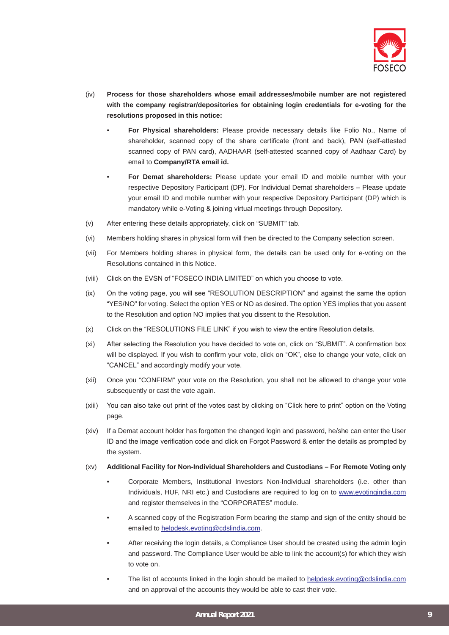

- (iv) **Process for those shareholders whose email addresses/mobile number are not registered with the company registrar/depositories for obtaining login credentials for e-voting for the resolutions proposed in this notice:** 
	- **For Physical shareholders:** Please provide necessary details like Folio No., Name of shareholder, scanned copy of the share certificate (front and back), PAN (self-attested scanned copy of PAN card), AADHAAR (self-attested scanned copy of Aadhaar Card) by email to **Company/RTA email id.**
	- **For Demat shareholders:** Please update your email ID and mobile number with your respective Depository Participant (DP). For Individual Demat shareholders – Please update your email ID and mobile number with your respective Depository Participant (DP) which is mandatory while e-Voting & joining virtual meetings through Depository.
- (v) After entering these details appropriately, click on "SUBMIT" tab.
- (vi) Members holding shares in physical form will then be directed to the Company selection screen.
- (vii) For Members holding shares in physical form, the details can be used only for e-voting on the Resolutions contained in this Notice.
- (viii) Click on the EVSN of "FOSECO INDIA LIMITED" on which you choose to vote.
- (ix) On the voting page, you will see "RESOLUTION DESCRIPTION" and against the same the option "YES/NO" for voting. Select the option YES or NO as desired. The option YES implies that you assent to the Resolution and option NO implies that you dissent to the Resolution.
- (x) Click on the "RESOLUTIONS FILE LINK" if you wish to view the entire Resolution details.
- (xi) After selecting the Resolution you have decided to vote on, click on "SUBMIT". A confirmation box will be displayed. If you wish to confirm your vote, click on "OK", else to change your vote, click on "CANCEL" and accordingly modify your vote.
- (xii) Once you "CONFIRM" your vote on the Resolution, you shall not be allowed to change your vote subsequently or cast the vote again.
- (xiii) You can also take out print of the votes cast by clicking on "Click here to print" option on the Voting page.
- (xiv) If a Demat account holder has forgotten the changed login and password, he/she can enter the User ID and the image verification code and click on Forgot Password & enter the details as prompted by the system.
- (xv) **Additional Facility for Non-Individual Shareholders and Custodians For Remote Voting only**
	- Corporate Members, Institutional Investors Non-Individual shareholders (i.e. other than Individuals, HUF, NRI etc.) and Custodians are required to log on to www.evotingindia.com and register themselves in the "CORPORATES" module.
	- A scanned copy of the Registration Form bearing the stamp and sign of the entity should be emailed to helpdesk.evoting@cdslindia.com.
	- After receiving the login details, a Compliance User should be created using the admin login and password. The Compliance User would be able to link the account(s) for which they wish to vote on.
	- The list of accounts linked in the login should be mailed to helpdesk.evoting@cdslindia.com and on approval of the accounts they would be able to cast their vote.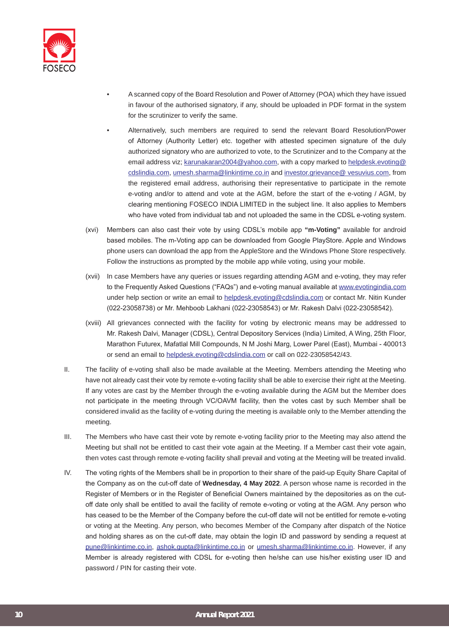

- A scanned copy of the Board Resolution and Power of Attorney (POA) which they have issued in favour of the authorised signatory, if any, should be uploaded in PDF format in the system for the scrutinizer to verify the same.
- Alternatively, such members are required to send the relevant Board Resolution/Power of Attorney (Authority Letter) etc. together with attested specimen signature of the duly authorized signatory who are authorized to vote, to the Scrutinizer and to the Company at the email address viz; karunakaran2004@yahoo.com, with a copy marked to helpdesk.evoting@ cdslindia.com, umesh.sharma@linkintime.co.in and investor.grievance@ vesuvius.com, from the registered email address, authorising their representative to participate in the remote e-voting and/or to attend and vote at the AGM, before the start of the e-voting / AGM, by clearing mentioning FOSECO INDIA LIMITED in the subject line. It also applies to Members who have voted from individual tab and not uploaded the same in the CDSL e-voting system.
- (xvi) Members can also cast their vote by using CDSL's mobile app **"m-Voting"** available for android based mobiles. The m-Voting app can be downloaded from Google PlayStore. Apple and Windows phone users can download the app from the AppleStore and the Windows Phone Store respectively. Follow the instructions as prompted by the mobile app while voting, using your mobile.
- (xvii) In case Members have any queries or issues regarding attending AGM and e-voting, they may refer to the Frequently Asked Questions ("FAQs") and e-voting manual available at www.evotingindia.com under help section or write an email to helpdesk.evoting@cdslindia.com or contact Mr. Nitin Kunder (022-23058738) or Mr. Mehboob Lakhani (022-23058543) or Mr. Rakesh Dalvi (022-23058542).
- (xviii) All grievances connected with the facility for voting by electronic means may be addressed to Mr. Rakesh Dalvi, Manager (CDSL), Central Depository Services (India) Limited, A Wing, 25th Floor, Marathon Futurex, Mafatlal Mill Compounds, N M Joshi Marg, Lower Parel (East), Mumbai - 400013 or send an email to helpdesk.evoting@cdslindia.com or call on 022-23058542/43.
- II. The facility of e-voting shall also be made available at the Meeting. Members attending the Meeting who have not already cast their vote by remote e-voting facility shall be able to exercise their right at the Meeting. If any votes are cast by the Member through the e-voting available during the AGM but the Member does not participate in the meeting through VC/OAVM facility, then the votes cast by such Member shall be considered invalid as the facility of e-voting during the meeting is available only to the Member attending the meeting.
- III. The Members who have cast their vote by remote e-voting facility prior to the Meeting may also attend the Meeting but shall not be entitled to cast their vote again at the Meeting. If a Member cast their vote again, then votes cast through remote e-voting facility shall prevail and voting at the Meeting will be treated invalid.
- IV. The voting rights of the Members shall be in proportion to their share of the paid-up Equity Share Capital of the Company as on the cut-off date of **Wednesday, 4 May 2022**. A person whose name is recorded in the Register of Members or in the Register of Beneficial Owners maintained by the depositories as on the cutoff date only shall be entitled to avail the facility of remote e-voting or voting at the AGM. Any person who has ceased to be the Member of the Company before the cut-off date will not be entitled for remote e-voting or voting at the Meeting. Any person, who becomes Member of the Company after dispatch of the Notice and holding shares as on the cut-off date, may obtain the login ID and password by sending a request at pune@linkintime.co.in, ashok.gupta@linkintime.co.in or umesh.sharma@linkintime.co.in. However, if any Member is already registered with CDSL for e-voting then he/she can use his/her existing user ID and password / PIN for casting their vote.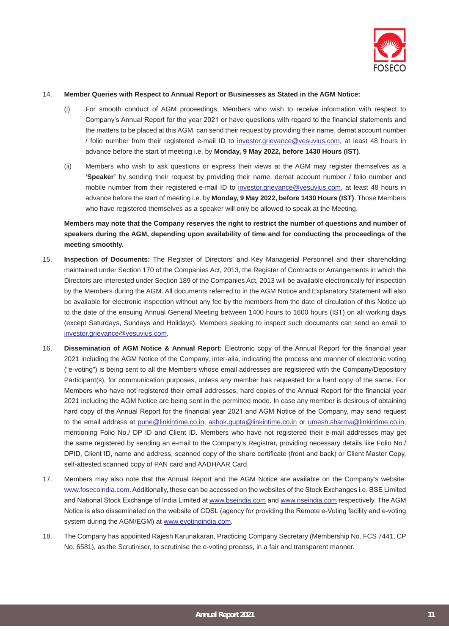

#### 14. **Member Queries with Respect to Annual Report or Businesses as Stated in the AGM Notice:**

- (i) For smooth conduct of AGM proceedings, Members who wish to receive information with respect to Company's Annual Report for the year 2021 or have questions with regard to the financial statements and the matters to be placed at this AGM, can send their request by providing their name, demat account number / folio number from their registered e-mail ID to investor.grievance@vesuvius.com, at least 48 hours in advance before the start of meeting i.e. by **Monday, 9 May 2022, before 1430 Hours (IST)**.
- (ii) Members who wish to ask questions or express their views at the AGM may register themselves as a **'Speaker'** by sending their request by providing their name, demat account number / folio number and mobile number from their registered e-mail ID to investor.grievance@vesuvius.com, at least 48 hours in advance before the start of meeting i.e. by **Monday, 9 May 2022, before 1430 Hours (IST)**. Those Members who have registered themselves as a speaker will only be allowed to speak at the Meeting.

**Members may note that the Company reserves the right to restrict the number of questions and number of speakers during the AGM, depending upon availability of time and for conducting the proceedings of the meeting smoothly.**

- 15. **Inspection of Documents:** The Register of Directors' and Key Managerial Personnel and their shareholding maintained under Section 170 of the Companies Act, 2013, the Register of Contracts or Arrangements in which the Directors are interested under Section 189 of the Companies Act, 2013 will be available electronically for inspection by the Members during the AGM. All documents referred to in the AGM Notice and Explanatory Statement will also be available for electronic inspection without any fee by the members from the date of circulation of this Notice up to the date of the ensuing Annual General Meeting between 1400 hours to 1600 hours (IST) on all working days (except Saturdays, Sundays and Holidays). Members seeking to inspect such documents can send an email to investor.grievance@vesuvius.com.
- 16. **Dissemination of AGM Notice & Annual Report:** Electronic copy of the Annual Report for the financial year 2021 including the AGM Notice of the Company, inter-alia, indicating the process and manner of electronic voting ("e-voting") is being sent to all the Members whose email addresses are registered with the Company/Depository Participant(s), for communication purposes, unless any member has requested for a hard copy of the same. For Members who have not registered their email addresses, hard copies of the Annual Report for the financial year 2021 including the AGM Notice are being sent in the permitted mode. In case any member is desirous of obtaining hard copy of the Annual Report for the financial year 2021 and AGM Notice of the Company, may send request to the email address at pune@linkintime.co.in, ashok.qupta@linkintime.co.in or umesh.sharma@linkintime.co.in, mentioning Folio No./ DP ID and Client ID. Members who have not registered their e-mail addresses may get the same registered by sending an e-mail to the Company's Registrar, providing necessary details like Folio No./ DPID, Client ID, name and address, scanned copy of the share certificate (front and back) or Client Master Copy, self-attested scanned copy of PAN card and AADHAAR Card.
- 17. Members may also note that the Annual Report and the AGM Notice are available on the Company's website: www.fosecoindia.com. Additionally, these can be accessed on the websites of the Stock Exchanges i.e. BSE Limited and National Stock Exchange of India Limited at www.bseindia.com and www.nseindia.com respectively. The AGM Notice is also disseminated on the website of CDSL (agency for providing the Remote e-Voting facility and e-voting system during the AGM/EGM) at www.evotingindia.com.
- 18. The Company has appointed Rajesh Karunakaran, Practicing Company Secretary (Membership No. FCS 7441, CP No. 6581), as the Scrutiniser, to scrutinise the e-voting process, in a fair and transparent manner.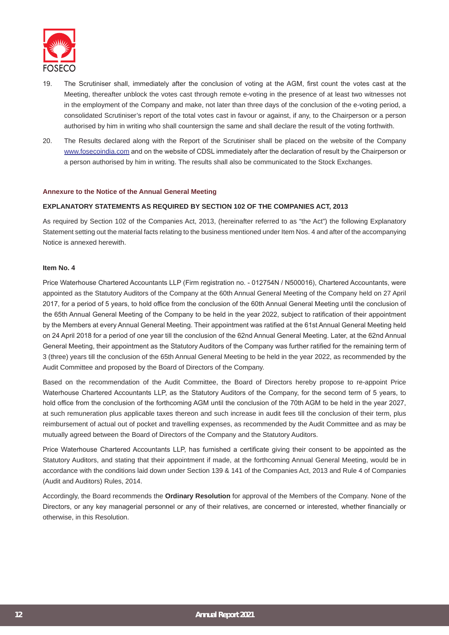

- 19. The Scrutiniser shall, immediately after the conclusion of voting at the AGM, first count the votes cast at the Meeting, thereafter unblock the votes cast through remote e-voting in the presence of at least two witnesses not in the employment of the Company and make, not later than three days of the conclusion of the e-voting period, a consolidated Scrutiniser's report of the total votes cast in favour or against, if any, to the Chairperson or a person authorised by him in writing who shall countersign the same and shall declare the result of the voting forthwith.
- 20. The Results declared along with the Report of the Scrutiniser shall be placed on the website of the Company www.fosecoindia.com and on the website of CDSL immediately after the declaration of result by the Chairperson or a person authorised by him in writing. The results shall also be communicated to the Stock Exchanges.

#### **Annexure to the Notice of the Annual General Meeting**

#### **EXPLANATORY STATEMENTS AS REQUIRED BY SECTION 102 OF THE COMPANIES ACT, 2013**

As required by Section 102 of the Companies Act, 2013, (hereinafter referred to as "the Act") the following Explanatory Statement setting out the material facts relating to the business mentioned under Item Nos. 4 and after of the accompanying Notice is annexed herewith.

#### **Item No. 4**

Price Waterhouse Chartered Accountants LLP (Firm registration no. - 012754N / N500016), Chartered Accountants, were appointed as the Statutory Auditors of the Company at the 60th Annual General Meeting of the Company held on 27 April 2017, for a period of 5 years, to hold office from the conclusion of the 60th Annual General Meeting until the conclusion of the 65th Annual General Meeting of the Company to be held in the year 2022, subject to ratification of their appointment by the Members at every Annual General Meeting. Their appointment was ratified at the 61st Annual General Meeting held on 24 April 2018 for a period of one year till the conclusion of the 62nd Annual General Meeting. Later, at the 62nd Annual General Meeting, their appointment as the Statutory Auditors of the Company was further ratified for the remaining term of 3 (three) years till the conclusion of the 65th Annual General Meeting to be held in the year 2022, as recommended by the Audit Committee and proposed by the Board of Directors of the Company.

Based on the recommendation of the Audit Committee, the Board of Directors hereby propose to re-appoint Price Waterhouse Chartered Accountants LLP, as the Statutory Auditors of the Company, for the second term of 5 years, to hold office from the conclusion of the forthcoming AGM until the conclusion of the 70th AGM to be held in the year 2027, at such remuneration plus applicable taxes thereon and such increase in audit fees till the conclusion of their term, plus reimbursement of actual out of pocket and travelling expenses, as recommended by the Audit Committee and as may be mutually agreed between the Board of Directors of the Company and the Statutory Auditors.

Price Waterhouse Chartered Accountants LLP, has furnished a certificate giving their consent to be appointed as the Statutory Auditors, and stating that their appointment if made, at the forthcoming Annual General Meeting, would be in accordance with the conditions laid down under Section 139 & 141 of the Companies Act, 2013 and Rule 4 of Companies (Audit and Auditors) Rules, 2014.

Accordingly, the Board recommends the **Ordinary Resolution** for approval of the Members of the Company. None of the Directors, or any key managerial personnel or any of their relatives, are concerned or interested, whether financially or otherwise, in this Resolution.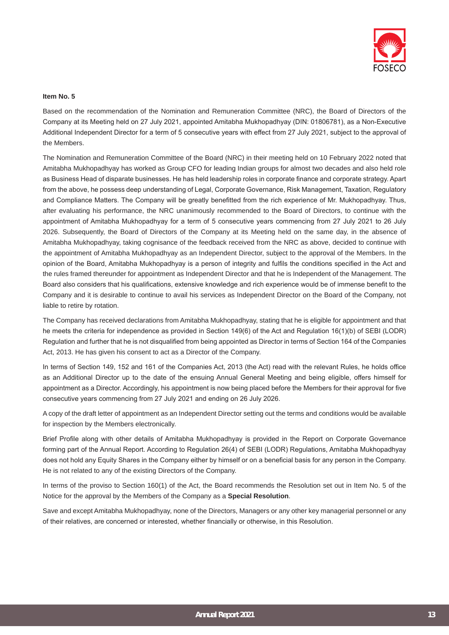

#### **Item No. 5**

Based on the recommendation of the Nomination and Remuneration Committee (NRC), the Board of Directors of the Company at its Meeting held on 27 July 2021, appointed Amitabha Mukhopadhyay (DIN: 01806781), as a Non-Executive Additional Independent Director for a term of 5 consecutive years with effect from 27 July 2021, subject to the approval of the Members.

The Nomination and Remuneration Committee of the Board (NRC) in their meeting held on 10 February 2022 noted that Amitabha Mukhopadhyay has worked as Group CFO for leading Indian groups for almost two decades and also held role as Business Head of disparate businesses. He has held leadership roles in corporate finance and corporate strategy. Apart from the above, he possess deep understanding of Legal, Corporate Governance, Risk Management, Taxation, Regulatory and Compliance Matters. The Company will be greatly benefitted from the rich experience of Mr. Mukhopadhyay. Thus, after evaluating his performance, the NRC unanimously recommended to the Board of Directors, to continue with the appointment of Amitabha Mukhopadhyay for a term of 5 consecutive years commencing from 27 July 2021 to 26 July 2026. Subsequently, the Board of Directors of the Company at its Meeting held on the same day, in the absence of Amitabha Mukhopadhyay, taking cognisance of the feedback received from the NRC as above, decided to continue with the appointment of Amitabha Mukhopadhyay as an Independent Director, subject to the approval of the Members. In the opinion of the Board, Amitabha Mukhopadhyay is a person of integrity and fulfils the conditions specified in the Act and the rules framed thereunder for appointment as Independent Director and that he is Independent of the Management. The Board also considers that his qualifications, extensive knowledge and rich experience would be of immense benefit to the Company and it is desirable to continue to avail his services as Independent Director on the Board of the Company, not liable to retire by rotation.

The Company has received declarations from Amitabha Mukhopadhyay, stating that he is eligible for appointment and that he meets the criteria for independence as provided in Section 149(6) of the Act and Regulation 16(1)(b) of SEBI (LODR) Regulation and further that he is not disqualified from being appointed as Director in terms of Section 164 of the Companies Act, 2013. He has given his consent to act as a Director of the Company.

In terms of Section 149, 152 and 161 of the Companies Act, 2013 (the Act) read with the relevant Rules, he holds office as an Additional Director up to the date of the ensuing Annual General Meeting and being eligible, offers himself for appointment as a Director. Accordingly, his appointment is now being placed before the Members for their approval for five consecutive years commencing from 27 July 2021 and ending on 26 July 2026.

A copy of the draft letter of appointment as an Independent Director setting out the terms and conditions would be available for inspection by the Members electronically.

Brief Profile along with other details of Amitabha Mukhopadhyay is provided in the Report on Corporate Governance forming part of the Annual Report. According to Regulation 26(4) of SEBI (LODR) Regulations, Amitabha Mukhopadhyay does not hold any Equity Shares in the Company either by himself or on a beneficial basis for any person in the Company. He is not related to any of the existing Directors of the Company.

In terms of the proviso to Section 160(1) of the Act, the Board recommends the Resolution set out in Item No. 5 of the Notice for the approval by the Members of the Company as a **Special Resolution**.

Save and except Amitabha Mukhopadhyay, none of the Directors, Managers or any other key managerial personnel or any of their relatives, are concerned or interested, whether financially or otherwise, in this Resolution.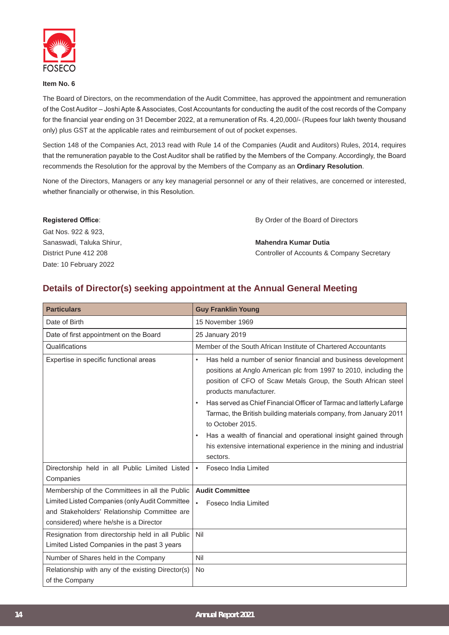

#### **Item No. 6**

The Board of Directors, on the recommendation of the Audit Committee, has approved the appointment and remuneration of the Cost Auditor – Joshi Apte & Associates, Cost Accountants for conducting the audit of the cost records of the Company for the financial year ending on 31 December 2022, at a remuneration of Rs. 4,20,000/- (Rupees four lakh twenty thousand only) plus GST at the applicable rates and reimbursement of out of pocket expenses.

Section 148 of the Companies Act, 2013 read with Rule 14 of the Companies (Audit and Auditors) Rules, 2014, requires that the remuneration payable to the Cost Auditor shall be ratified by the Members of the Company. Accordingly, the Board recommends the Resolution for the approval by the Members of the Company as an **Ordinary Resolution**.

None of the Directors, Managers or any key managerial personnel or any of their relatives, are concerned or interested, whether financially or otherwise, in this Resolution.

| <b>Registered Office:</b> | By Order of the Board of Directors         |
|---------------------------|--------------------------------------------|
| Gat Nos. 922 & 923,       |                                            |
| Sanaswadi, Taluka Shirur, | Mahendra Kumar Dutia                       |
| District Pune 412 208     | Controller of Accounts & Company Secretary |
| Date: 10 February 2022    |                                            |

# **Details of Director(s) seeking appointment at the Annual General Meeting**

| <b>Particulars</b>                                                                                                                                                                         | <b>Guy Franklin Young</b>                                                                                                                                                                                                                  |
|--------------------------------------------------------------------------------------------------------------------------------------------------------------------------------------------|--------------------------------------------------------------------------------------------------------------------------------------------------------------------------------------------------------------------------------------------|
| Date of Birth                                                                                                                                                                              | 15 November 1969                                                                                                                                                                                                                           |
| Date of first appointment on the Board                                                                                                                                                     | 25 January 2019                                                                                                                                                                                                                            |
| Qualifications                                                                                                                                                                             | Member of the South African Institute of Chartered Accountants                                                                                                                                                                             |
| Expertise in specific functional areas                                                                                                                                                     | Has held a number of senior financial and business development<br>$\bullet$<br>positions at Anglo American plc from 1997 to 2010, including the<br>position of CFO of Scaw Metals Group, the South African steel<br>products manufacturer. |
|                                                                                                                                                                                            | Has served as Chief Financial Officer of Tarmac and latterly Lafarge<br>$\bullet$<br>Tarmac, the British building materials company, from January 2011<br>to October 2015.                                                                 |
|                                                                                                                                                                                            | Has a wealth of financial and operational insight gained through<br>his extensive international experience in the mining and industrial<br>sectors.                                                                                        |
| Directorship held in all Public Limited Listed<br>Companies                                                                                                                                | Foseco India Limited                                                                                                                                                                                                                       |
| Membership of the Committees in all the Public<br>Limited Listed Companies (only Audit Committee<br>and Stakeholders' Relationship Committee are<br>considered) where he/she is a Director | <b>Audit Committee</b><br>Foseco India Limited                                                                                                                                                                                             |
| Resignation from directorship held in all Public<br>Limited Listed Companies in the past 3 years                                                                                           | Nil                                                                                                                                                                                                                                        |
| Number of Shares held in the Company                                                                                                                                                       | Nil                                                                                                                                                                                                                                        |
| Relationship with any of the existing Director(s)<br>of the Company                                                                                                                        | <b>No</b>                                                                                                                                                                                                                                  |